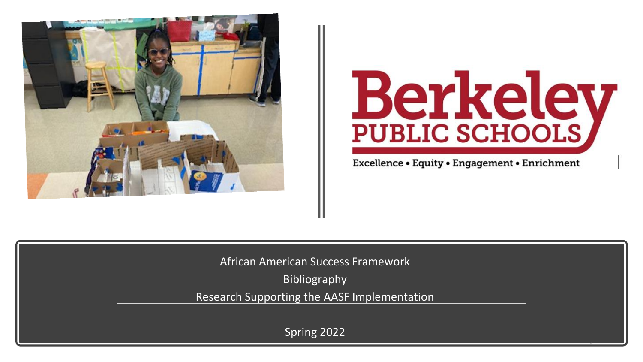



1

Excellence • Equity • Engagement • Enrichment

African American Success Framework

Bibliography

Research Supporting the AASF Implementation

Spring 2022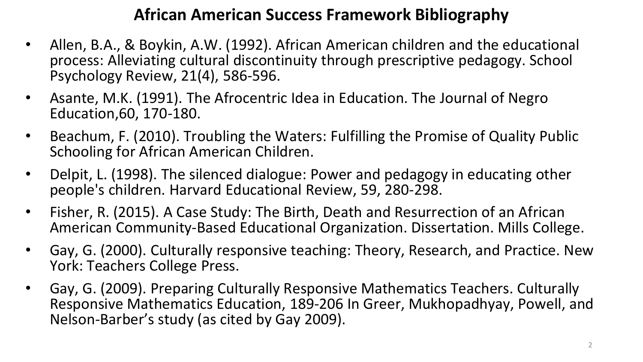## **African American Success Framework Bibliography**

- Allen, B.A., & Boykin, A.W. (1992). African American children and the educational process: Alleviating cultural discontinuity through prescriptive pedagogy. School Psychology Review, 21(4), 586-596.
- Asante, M.K. (1991). The Afrocentric Idea in Education. The Journal of Negro Education,60, 170-180.
- Beachum, F. (2010). Troubling the Waters: Fulfilling the Promise of Quality Public Schooling for African American Children.
- Delpit, L. (1998). The silenced dialogue: Power and pedagogy in educating other people's children. Harvard Educational Review, 59, 280-298.
- Fisher, R. (2015). A Case Study: The Birth, Death and Resurrection of an African American Community-Based Educational Organization. Dissertation. Mills College.
- Gay, G. (2000). Culturally responsive teaching: Theory, Research, and Practice. New York: Teachers College Press.
- Gay, G. (2009). Preparing Culturally Responsive Mathematics Teachers. Culturally Responsive Mathematics Education, 189-206 In Greer, Mukhopadhyay, Powell, and Nelson-Barber's study (as cited by Gay 2009).